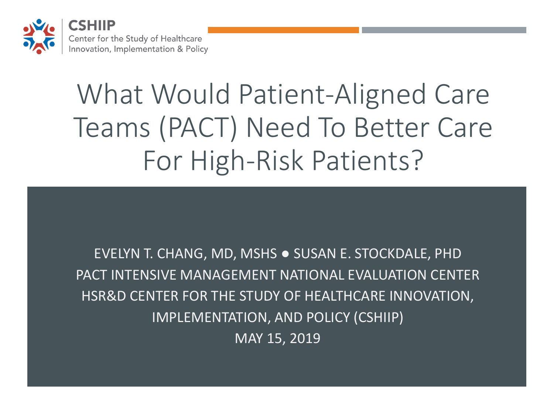

# What Would Patient-Aligned Care Teams (PACT) Need To Better Care For High-Risk Patients?

 IMPLEMENTATION, AND POLICY (CSHIIP) EVELYN T. CHANG, MD, MSHS ● SUSAN E. STOCKDALE, PHD PACT INTENSIVE MANAGEMENT NATIONAL EVALUATION CENTER HSR&D CENTER FOR THE STUDY OF HEALTHCARE INNOVATION, MAY 15, 2019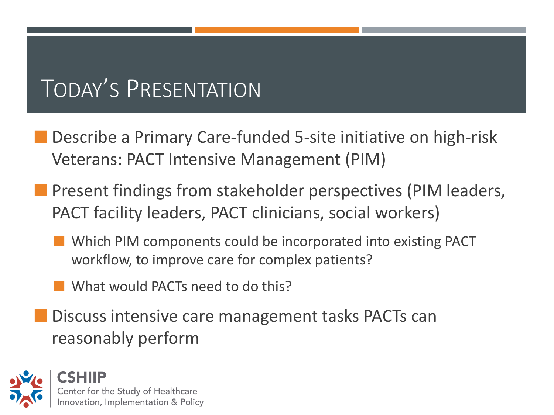#### TODAY'S PRESENTATION

- **Describe a Primary Care-funded 5-site initiative on high-risk** Veterans: PACT Intensive Management (PIM)
- **Present findings from stakeholder perspectives (PIM leaders,** PACT facility leaders, PACT clinicians, social workers)
	- **Notainally Exercise 2018** Which PIM components could be incorporated into existing PACT workflow, to improve care for complex patients?
	- **No. 2018** What would PACTs need to do this?
- Discuss intensive care management tasks PACTs can reasonably perform

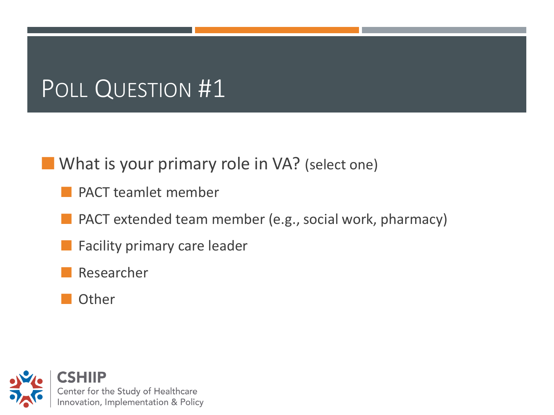#### POLL QUESTION #1

**Notable 12 What is your primary role in VA?** (select one)

- PACT teamlet member
- **PACT** extended team member (e.g., social work, pharmacy)
	- Facility primary care leader
- Researcher
- **Other**

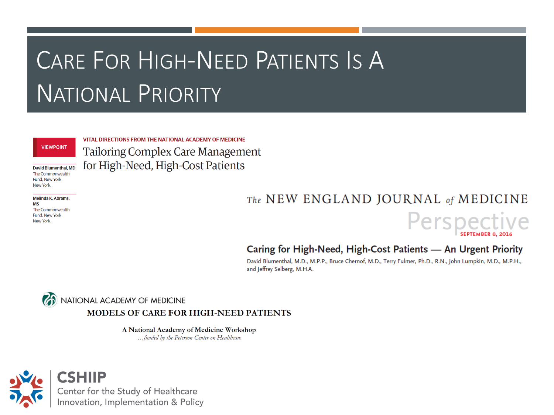#### CARE FOR HIGH-NEED PATIENTS IS A NATIONAL PRIORITY

#### **VIEWPOINT**

David Blumenthal, MD The Commonwealth Fund. New York. New York.

Melinda K. Abrams. **MS** The Commonwealth Fund, New York, New York

VITAL DIRECTIONS FROM THE NATIONAL ACADEMY OF MEDICINE **Tailoring Complex Care Management** for High-Need, High-Cost Patients

#### The NEW ENGLAND JOURNAL of MEDICINE



#### Caring for High-Need, High-Cost Patients - An Urgent Priority

David Blumenthal, M.D., M.P.P., Bruce Chernof, M.D., Terry Fulmer, Ph.D., R.N., John Lumpkin, M.D., M.P.H., and Jeffrey Selberg, M.H.A.

NATIONAL ACADEMY OF MEDICINE MODELS OF CARE FOR HIGH-NEED PATIENTS

A National Academy of Medicine Workshop

...funded by the Peterson Center on Healthcare

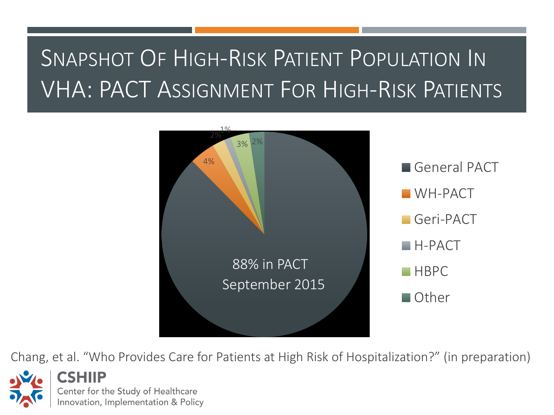#### SNAPSHOT OF HIGH-RISK PATIENT POPULATION IN VHA: PACT ASSIGNMENT FOR HIGH-RISK PATIENTS



Chang, et al. "Who Provides Care for Patients at High Risk of Hospitalization?" (in preparation)

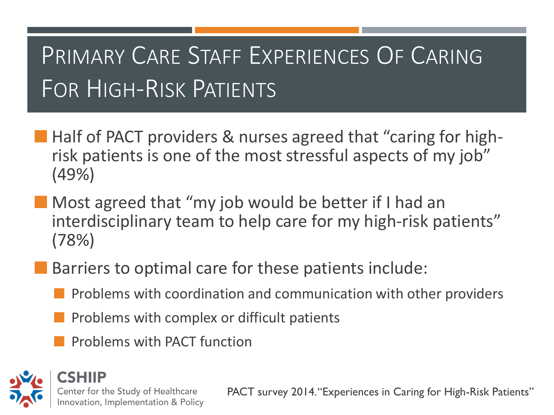#### PRIMARY CARE STAFF EXPERIENCES OF CARING FOR HIGH-RISK PATIENTS

- **Half of PACT providers & nurses agreed that "caring for high**risk patients is one of the most stressful aspects of my job" (49%)
- **Nost agreed that "my job would be better if I had an** interdisciplinary team to help care for my high-risk patients" (78%)
- Barriers to optimal care for these patients include:
	- Problems with coordination and communication with other providers
	- Problems with complex or difficult patients
	- Problems with PACT function



PACT survey 2014."Experiences in Caring for High-Risk Patients"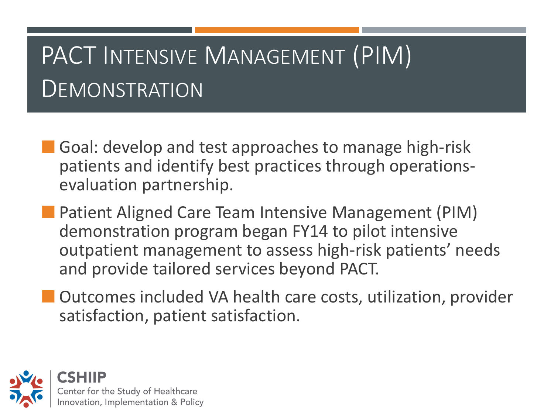#### PACT INTENSIVE MANAGEMENT (PIM) **DEMONSTRATION**

- Goal: develop and test approaches to manage high-risk patients and identify best practices through operationsevaluation partnership.
- **Patient Aligned Care Team Intensive Management (PIM)** demonstration program began FY14 to pilot intensive outpatient management to assess high-risk patients' needs and provide tailored services beyond PACT.
- **Outcomes included VA health care costs, utilization, provider** satisfaction, patient satisfaction.

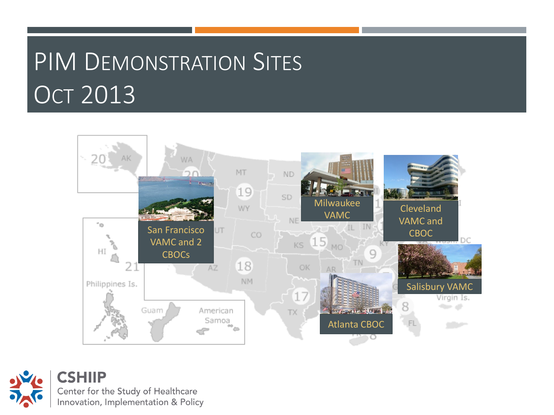# PIM DEMONSTRATION SITES **OCT 2013**



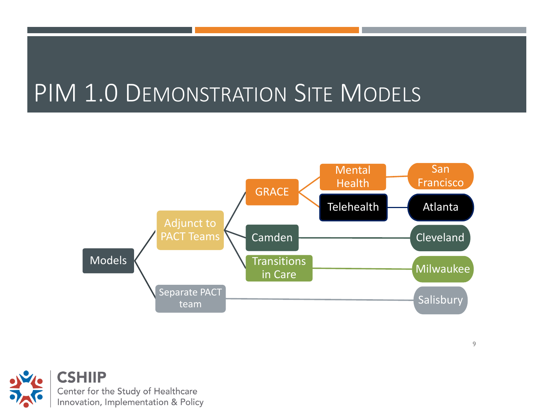#### PIM 1.0 DEMONSTRATION SITE MODELS



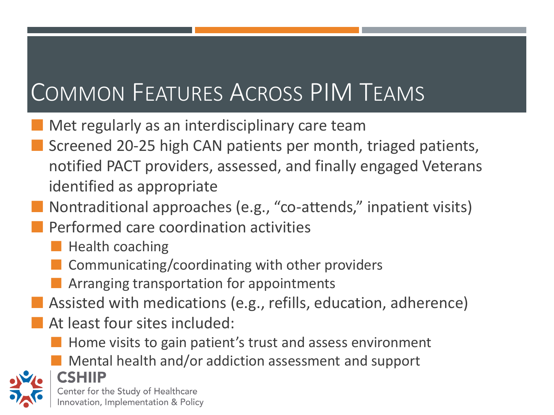#### COMMON FEATURES ACROSS PIM TEAMS

- Met regularly as an interdisciplinary care team
- Screened 20-25 high CAN patients per month, triaged patients, notified PACT providers, assessed, and finally engaged Veterans identified as appropriate
- Nontraditional approaches (e.g., "co-attends," inpatient visits)
- Performed care coordination activities
	- $\blacksquare$  Health coaching
	- Communicating/coordinating with other providers
	- **EXTERGE Arranging transportation for appointments**
- Assisted with medications (e.g., refills, education, adherence)
- At least four sites included:
	- $\blacksquare$  Home visits to gain patient's trust and assess environment
	- **Mental health and/or addiction assessment and support**



CSHIIP Center for the Study of Healthcare Innovation, Implementation & Policy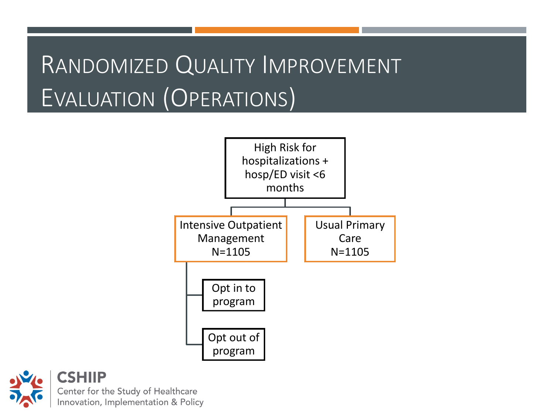#### RANDOMIZED QUALITY IMPROVEMENT EVALUATION (OPERATIONS)



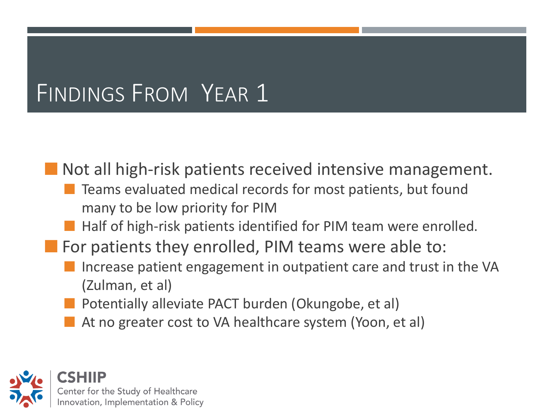#### FINDINGS FROM YEAR 1

**Not all high-risk patients received intensive management.** 

- **The Teams evaluated medical records for most patients, but found** many to be low priority for PIM
- $\blacksquare$  Half of high-risk patients identified for PIM team were enrolled.
- For patients they enrolled, PIM teams were able to:
	- Increase patient engagement in outpatient care and trust in the VA (Zulman, et al)
	- Potentially alleviate PACT burden (Okungobe, et al)
	- At no greater cost to VA healthcare system (Yoon, et al)

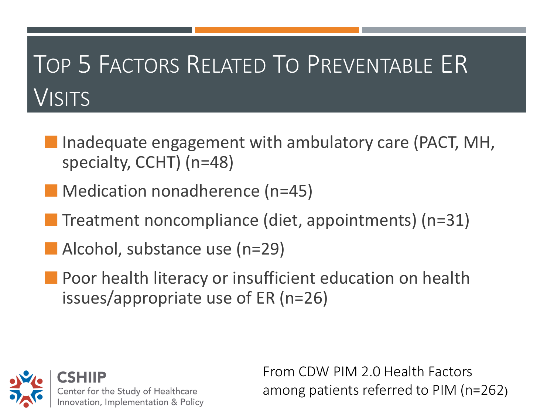#### TOP 5 FACTORS RELATED TO PREVENTABLE ER VISITS

- **Inadequate engagement with ambulatory care (PACT, MH,** specialty, CCHT) (n=48)
- **Medication nonadherence (n=45)**
- Treatment noncompliance (diet, appointments) (n=31)
- Alcohol, substance use (n=29)
- **Poor health literacy or insufficient education on health** issues/appropriate use of ER (n=26)



From CDW PIM 2.0 Health Factors among patients referred to PIM (n=262)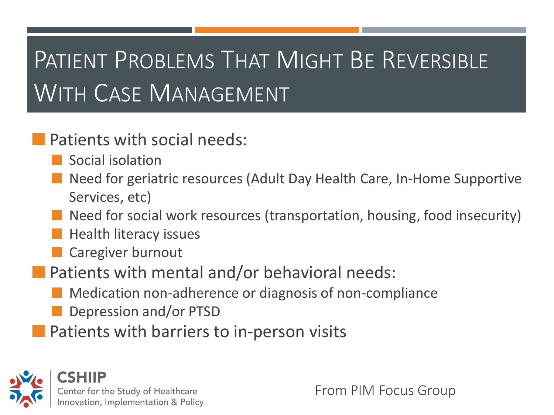### PATIENT PROBLEMS THAT MIGHT BE REVERSIBLE WITH CASE MANAGEMENT

#### **Patients with social needs:**

- Social isolation
- Need for geriatric resources (Adult Day Health Care, In-Home Supportive Services, etc)
- Need for social work resources (transportation, housing, food insecurity)
- Health literacy issues
- **Caregiver burnout**
- Patients with mental and/or behavioral needs:
	- **Medication non-adherence or diagnosis of non-compliance**
	- **Depression and/or PTSD**
- **Patients with barriers to in-person visits**



From PIM Focus Group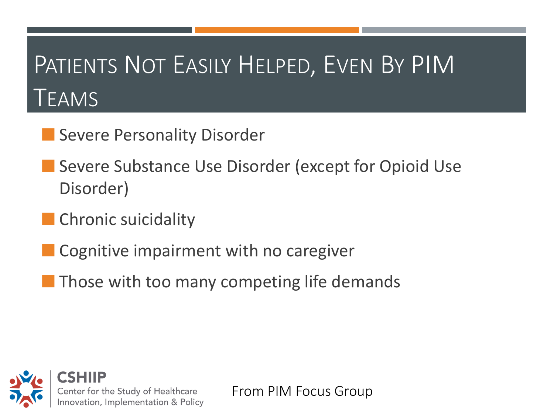### PATIENTS NOT EASILY HELPED, EVEN BY PIM TEAMS

- **Severe Personality Disorder**
- **Severe Substance Use Disorder (except for Opioid Use** Disorder)
- **Chronic suicidality**
- **Cognitive impairment with no caregiver**
- **Those with too many competing life demands**



From PIM Focus Group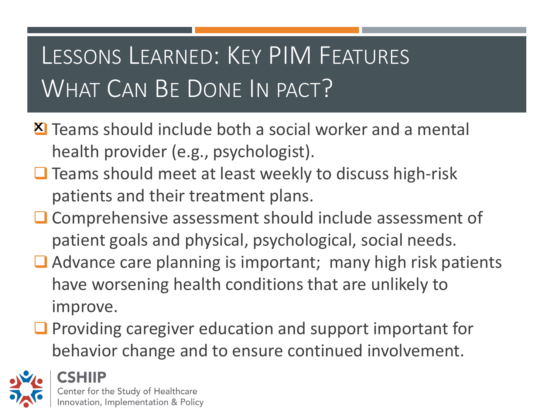#### LESSONS LEARNED: KEY PIM FEATURES WHAT CAN BE DONE IN PACT?

- X Teams should include both a social worker and a mental health provider (e.g., psychologist).
- ❑ Teams should meet at least weekly to discuss high-risk patients and their treatment plans.
- ❑ Comprehensive assessment should include assessment of patient goals and physical, psychological, social needs.
- ❑ Advance care planning is important; many high risk patients have worsening health conditions that are unlikely to improve.
- ❑ Providing caregiver education and support important for behavior change and to ensure continued involvement.

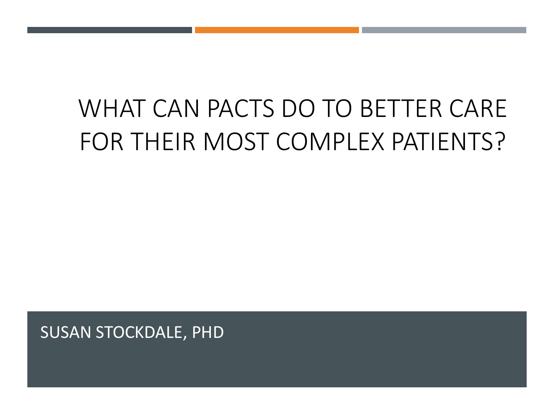#### WHAT CAN PACTS DO TO BETTER CARE FOR THEIR MOST COMPLEX PATIENTS?

SUSAN STOCKDALE, PHD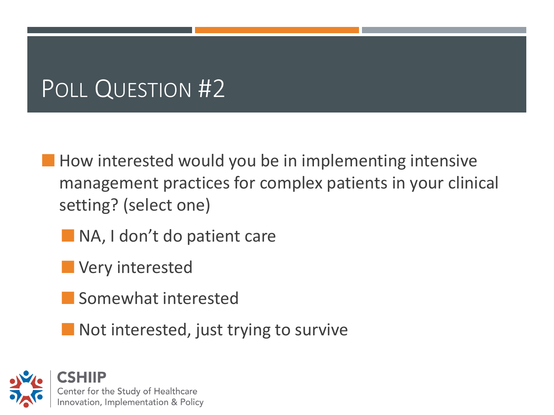#### POLL QUESTION #2

- **How interested would you be in implementing intensive** management practices for complex patients in your clinical setting? (select one)
	- NA, I don't do patient care
	- **N** Very interested
	- Somewhat interested
	- **Not interested, just trying to survive**

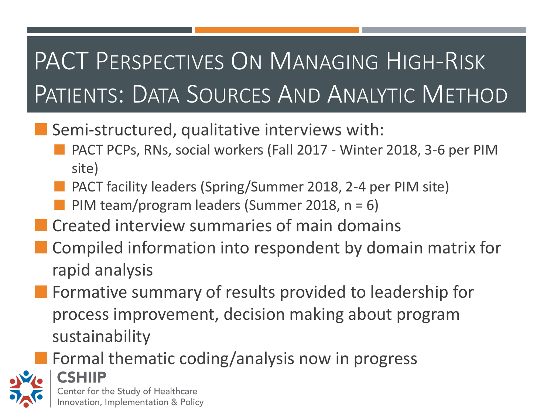### PACT PERSPECTIVES ON MANAGING HIGH-RISK PATIENTS: DATA SOURCES AND ANALYTIC METHOD

- **Semi-structured, qualitative interviews with:** 
	- PACT PCPs, RNs, social workers (Fall 2017 Winter 2018, 3-6 per PIM site)
	- PACT facility leaders (Spring/Summer 2018, 2-4 per PIM site)
	- PIM team/program leaders (Summer 2018, n = 6)
- **EXT** Created interview summaries of main domains
- Compiled information into respondent by domain matrix for rapid analysis
- **Formative summary of results provided to leadership for** process improvement, decision making about program sustainability
	- Formal thematic coding/analysis now in progress



**CSHIIP** Center for the Study of Healthcare Innovation, Implementation & Policy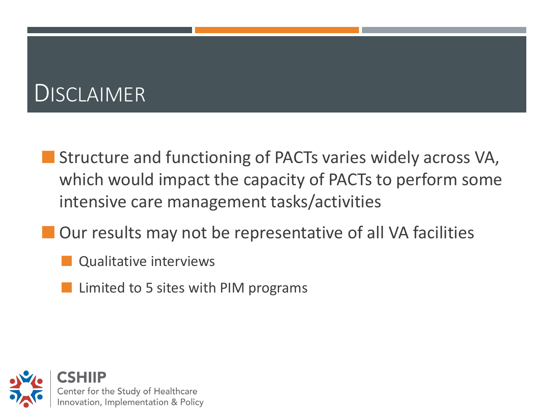#### **DISCLAIMER**

- **Structure and functioning of PACTs varies widely across VA,** which would impact the capacity of PACTs to perform some intensive care management tasks/activities
- **Our results may not be representative of all VA facilities** 
	- Qualitative interviews
	- Limited to 5 sites with PIM programs

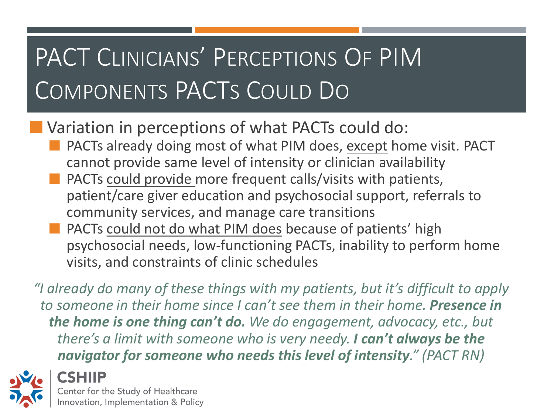# PACT CLINICIANS' PERCEPTIONS OF PIM COMPONENTS PACTS COULD DO

**Variation in perceptions of what PACTs could do:** 

- PACTs already doing most of what PIM does, except home visit. PACT cannot provide same level of intensity or clinician availability
- PACTs could provide more frequent calls/visits with patients, patient/care giver education and psychosocial support, referrals to community services, and manage care transitions
- PACTs could not do what PIM does because of patients' high psychosocial needs, low-functioning PACTs, inability to perform home visits, and constraints of clinic schedules

*"I already do many of these things with my patients, but it's difficult to apply to someone in their home since I can't see them in their home. Presence in the home is one thing can't do. We do engagement, advocacy, etc., but there's a limit with someone who is very needy. I can't always be the navigator for someone who needs this level of intensity." (PACT RN)*



**CSHIIP** Center for the Study of Healthcare Innovation, Implementation & Policy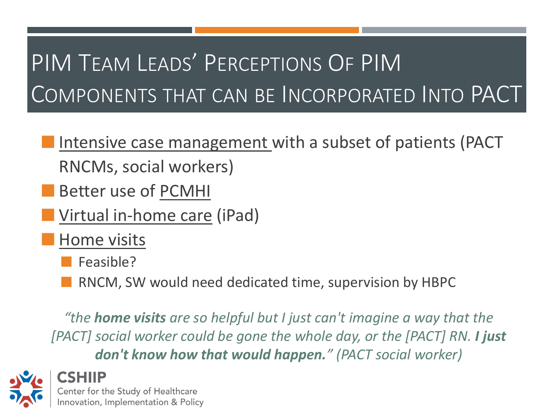#### PIM TEAM LEADS' PERCEPTIONS OF PIM COMPONENTS THAT CAN BE INCORPORATED INTO PACT

- Intensive case management with a subset of patients (PACT RNCMs, social workers)
- Better use of PCMHI
- **U** Virtual in-home care (iPad)
	- Home visits
		- Feasible?
		- RNCM, SW would need dedicated time, supervision by HBPC

*"the home visits are so helpful but I just can't imagine a way that the [PACT] social worker could be gone the whole day, or the [PACT] RN. I just don't know how that would happen." (PACT social worker)*



CSHIIP Center for the Study of Healthcare Innovation, Implementation & Policy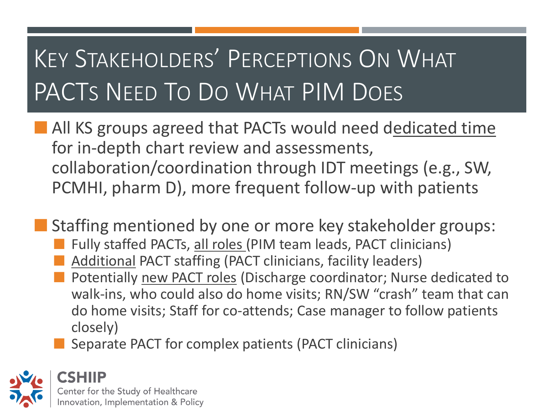## KEY STAKEHOLDERS' PERCEPTIONS ON WHAT PACTS NEED TO DO WHAT PIM DOES

- **All KS groups agreed that PACTs would need dedicated time** for in-depth chart review and assessments, collaboration/coordination through IDT meetings (e.g., SW, PCMHI, pharm D), more frequent follow-up with patients
- **Staffing mentioned by one or more key stakeholder groups:** 
	- Fully staffed PACTs, all roles (PIM team leads, PACT clinicians)
	- Additional PACT staffing (PACT clinicians, facility leaders)
	- **Potentially new PACT roles (Discharge coordinator; Nurse dedicated to** walk-ins, who could also do home visits; RN/SW "crash" team that can do home visits; Staff for co-attends; Case manager to follow patients closely)
	- Separate PACT for complex patients (PACT clinicians)

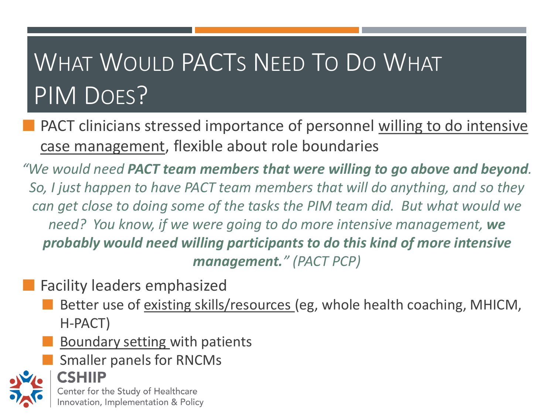## WHAT WOULD PACTS NEED TO DO WHAT PIM DOES?

PACT clinicians stressed importance of personnel willing to do intensive case management, flexible about role boundaries

 *need? You know, if we were going to do more intensive management, we "We would need PACT team members that were willing to go above and beyond. So, I just happen to have PACT team members that will do anything, and so they can get close to doing some of the tasks the PIM team did. But what would we probably would need willing participants to do this kind of more intensive management." (PACT PCP)*

Facility leaders emphasized

- Better use of existing skills/resources (eg, whole health coaching, MHICM, H-PACT)
- Boundary setting with patients
- Smaller panels for RNCMs



CSHIIP Center for the Study of Healthcare Innovation, Implementation & Policy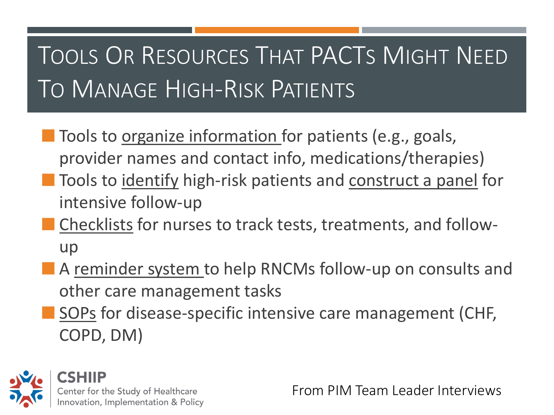#### TOOLS OR RESOURCES THAT PACTS MIGHT NEED TO MANAGE HIGH-RISK PATIENTS

- **Tools to organize information for patients (e.g., goals,** provider names and contact info, medications/therapies)
- **Theola** Tools to identify high-risk patients and construct a panel for intensive follow-up
- Checklists for nurses to track tests, treatments, and followup
- A reminder system to help RNCMs follow-up on consults and other care management tasks
- SOPs for disease-specific intensive care management (CHF, COPD, DM)



From PIM Team Leader Interviews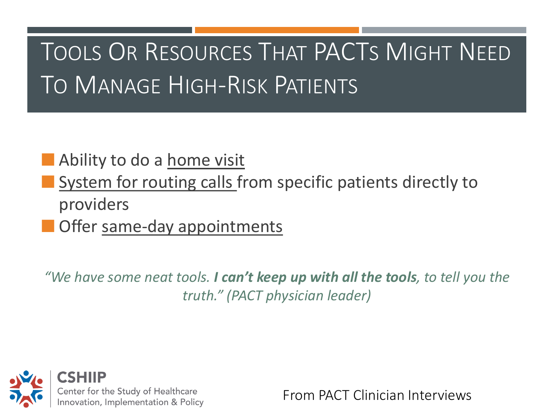#### TOOLS OR RESOURCES THAT PACTS MIGHT NEED TO MANAGE HIGH-RISK PATIENTS

#### Ability to do a home visit

- System for routing calls from specific patients directly to providers
- **Offer same-day appointments**

 *"We have some neat tools. I can't keep up with all the tools, to tell you the truth." (PACT physician leader)*



From PACT Clinician Interviews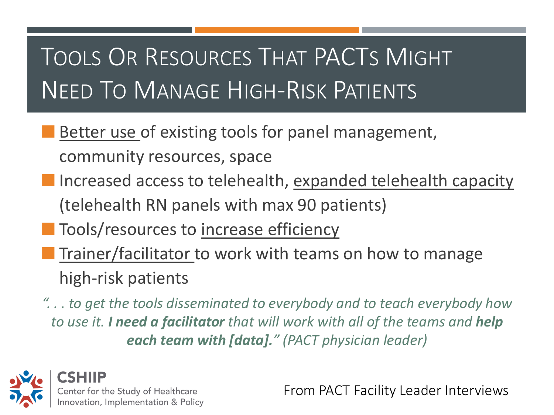#### TOOLS OR RESOURCES THAT PACTS MIGHT NEED TO MANAGE HIGH-RISK PATIENTS

- Better use of existing tools for panel management, community resources, space
- Increased access to telehealth, expanded telehealth capacity (telehealth RN panels with max 90 patients)
- **Tools/resources to increase efficiency**
- Trainer/facilitator to work with teams on how to manage high-risk patients

*". . . to get the tools disseminated to everybody and to teach everybody how to use it. I need a facilitator that will work with all of the teams and help each team with [data]." (PACT physician leader)*



From PACT Facility Leader Interviews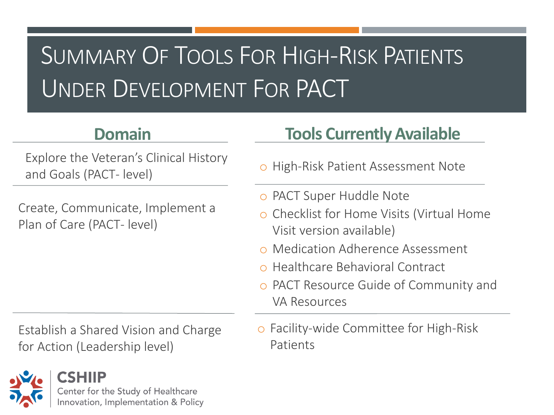#### SUMMARY OF TOOLS FOR HIGH-RISK PATIENTS UNDER DEVELOPMENT FOR PACT

#### **Domain**

Explore the Veteran's Clinical History and Goals (PACT- level)

Create, Communicate, Implement a Plan of Care (PACT- level)

for Action (Leadership level) Patients



#### **Tools Currently Available**

- o High-Risk Patient Assessment Note
- o PACT Super Huddle Note
- o Checklist for Home Visits (Virtual Home Visit version available)
- o Medication Adherence Assessment
- o Healthcare Behavioral Contract
- o PACT Resource Guide of Community and VA Resources
- Establish a Shared Vision and Charge o Facility-wide Committee for High-Risk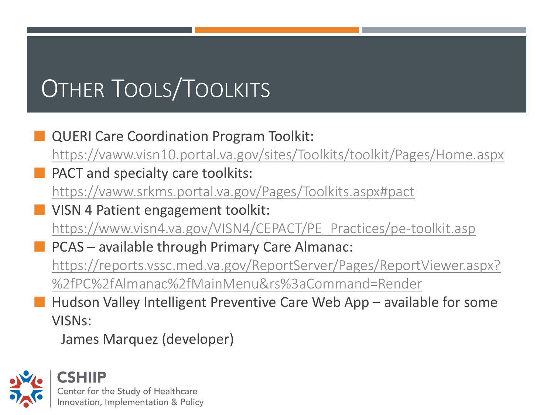# OTHER TOOLS/TOOLKITS

 QUERI Care Coordination Program Toolkit: <https://vaww.visn10.portal.va.gov/sites/Toolkits/toolkit/Pages/Home.aspx> PACT and specialty care toolkits: <https://vaww.srkms.portal.va.gov/Pages/Toolkits.aspx#pact> VISN 4 Patient engagement toolkit: [https://www.visn4.va.gov/VISN4/CEPACT/PE\\_Practices/pe-toolkit.asp](https://www.visn4.va.gov/VISN4/CEPACT/PE_Practices/pe-toolkit.asp) PCAS – available through Primary Care Almanac: [https://reports.vssc.med.va.gov/ReportServer/Pages/ReportViewer.aspx?](https://reports.vssc.med.va.gov/ReportServer/Pages/ReportViewer.aspx?/PC/Almanac/MainMenu&rs:Command=Render)  %2fPC%2fAlmanac%2fMainMenu&rs%3aCommand=Render Hudson Valley Intelligent Preventive Care Web App – available for some VISNs:

James Marquez (developer)

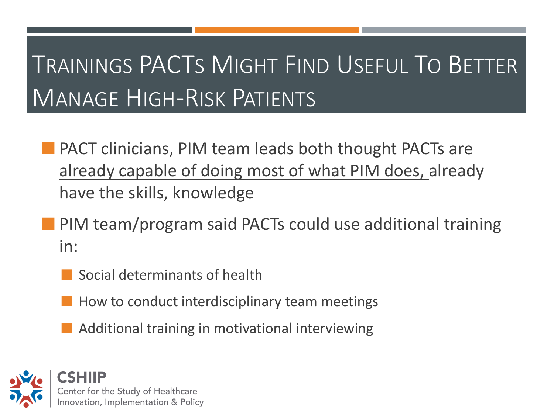#### TRAININGS PACTS MIGHT FIND USEFUL TO BETTER MANAGE HIGH-RISK PATIENTS

- **PACT clinicians, PIM team leads both thought PACTs are** already capable of doing most of what PIM does, already have the skills, knowledge
- **PIM team/program said PACTs could use additional training** in:
	- Social determinants of health
	- How to conduct interdisciplinary team meetings
	- Additional training in motivational interviewing

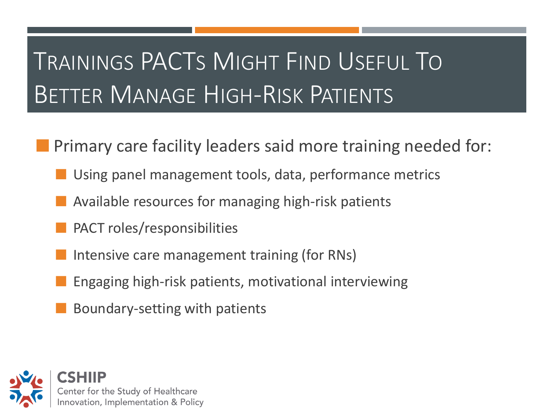#### TRAININGS PACTS MIGHT FIND USEFUL TO BETTER MANAGE HIGH-RISK PATIENTS

- Primary care facility leaders said more training needed for:
	- Using panel management tools, data, performance metrics
	- Available resources for managing high-risk patients
	- PACT roles/responsibilities
	- Intensive care management training (for RNs)
	- Engaging high-risk patients, motivational interviewing
	- Boundary-setting with patients

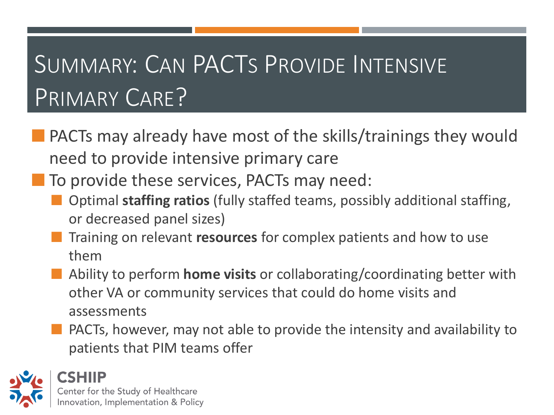#### SUMMARY: CAN PACTS PROVIDE INTENSIVE PRIMARY CARE?

- PACTs may already have most of the skills/trainings they would need to provide intensive primary care
- To provide these services, PACTs may need:
	- Optimal **staffing ratios** (fully staffed teams, possibly additional staffing, or decreased panel sizes)
	- Training on relevant **resources** for complex patients and how to use them
	- Ability to perform **home visits** or collaborating/coordinating better with other VA or community services that could do home visits and assessments
	- **PACTs, however, may not able to provide the intensity and availability to** patients that PIM teams offer

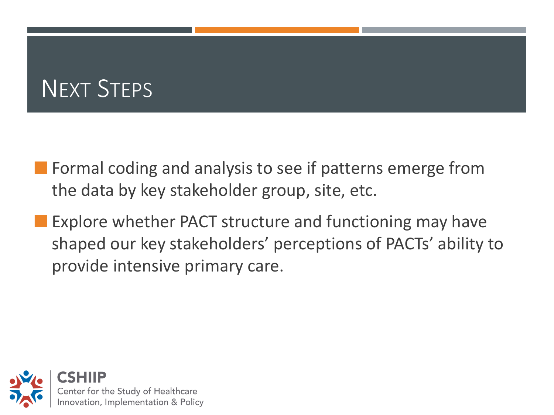#### NEXT STEPS

- **Formal coding and analysis to see if patterns emerge from** the data by key stakeholder group, site, etc.
- **Explore whether PACT structure and functioning may have** shaped our key stakeholders' perceptions of PACTs' ability to provide intensive primary care.

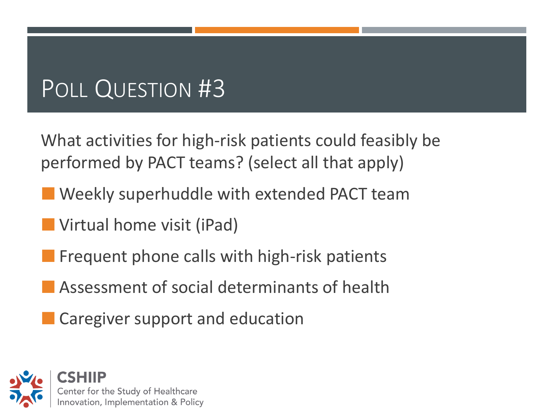#### POLL QUESTION #3

What activities for high-risk patients could feasibly be performed by PACT teams? (select all that apply)

- **Weekly superhuddle with extended PACT team**
- **Virtual home visit (iPad)**
- **Filte Frequent phone calls with high-risk patients**
- Assessment of social determinants of health
- **Caregiver support and education**

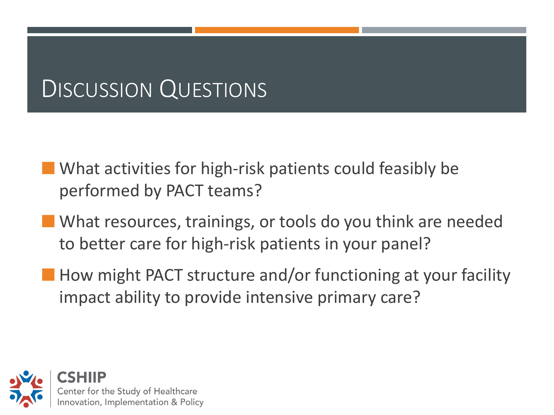#### DISCUSSION QUESTIONS

- **What activities for high-risk patients could feasibly be** performed by PACT teams?
- What resources, trainings, or tools do you think are needed to better care for high-risk patients in your panel?
- **How might PACT structure and/or functioning at your facility** impact ability to provide intensive primary care?

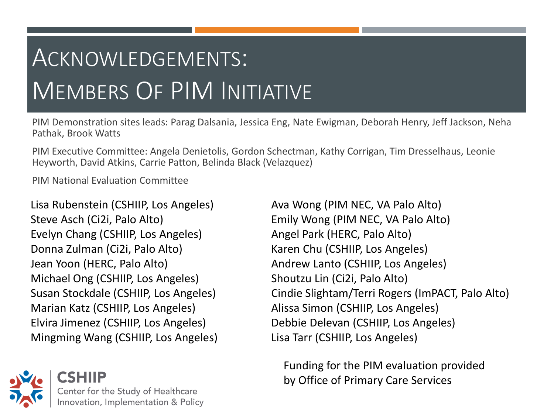#### ACKNOWLEDGEMENTS: MEMBERS OF PIM INITIATIVE

PIM Demonstration sites leads: Parag Dalsania, Jessica Eng, Nate Ewigman, Deborah Henry, Jeff Jackson, Neha Pathak, Brook Watts

 PIM Executive Committee: Angela Denietolis, Gordon Schectman, Kathy Corrigan, Tim Dresselhaus, Leonie Heyworth, David Atkins, Carrie Patton, Belinda Black (Velazquez)

PIM National Evaluation Committee

Lisa Rubenstein (CSHIIP, Los Angeles) Ava Wong (PIM NEC, VA Palo Alto) Steve Asch (Ci2i, Palo Alto) Emily Wong (PIM NEC, VA Palo Alto) Evelyn Chang (CSHIIP, Los Angeles) Angel Park (HERC, Palo Alto) Donna Zulman (Ci2i, Palo Alto) Karen Chu (CSHIIP, Los Angeles) Jean Yoon (HERC, Palo Alto) Andrew Lanto (CSHIIP, Los Angeles) Michael Ong (CSHIIP, Los Angeles) Shoutzu Lin (Ci2i, Palo Alto) Marian Katz (CSHIIP, Los Angeles) Alissa Simon (CSHIIP, Los Angeles) Elvira Jimenez (CSHIIP, Los Angeles) Debbie Delevan (CSHIIP, Los Angeles) Mingming Wang (CSHIIP, Los Angeles) Lisa Tarr (CSHIIP, Los Angeles)



Susan Stockdale (CSHIIP, Los Angeles) Cindie Slightam/Terri Rogers (ImPACT, Palo Alto)

 Funding for the PIM evaluation provided by Office of Primary Care Services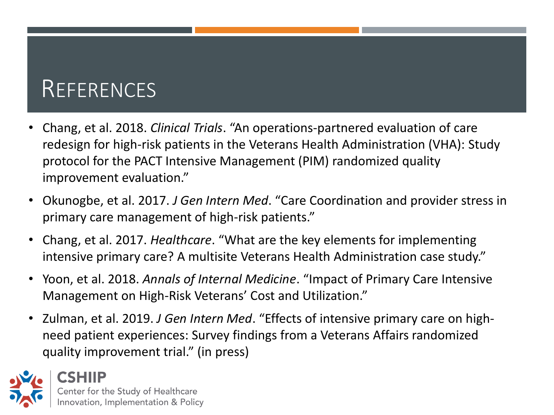#### **REFERENCES**

- redesign for high-risk patients in the Veterans Health Administration (VHA): Study protocol for the PACT Intensive Management (PIM) randomized quality • Chang, et al. 2018. *Clinical Trials*. "An operations-partnered evaluation of care improvement evaluation."
- Okunogbe, et al. 2017. *J Gen Intern Med*. "Care Coordination and provider stress in primary care management of high-risk patients."
- Chang, et al. 2017. *Healthcare*. "What are the key elements for implementing intensive primary care? A multisite Veterans Health Administration case study."
- Yoon, et al. 2018. *Annals of Internal Medicine*. "Impact of Primary Care Intensive Management on High-Risk Veterans' Cost and Utilization."
- Zulman, et al. 2019. *J Gen Intern Med*. "Effects of intensive primary care on highneed patient experiences: Survey findings from a Veterans Affairs randomized quality improvement trial." (in press)